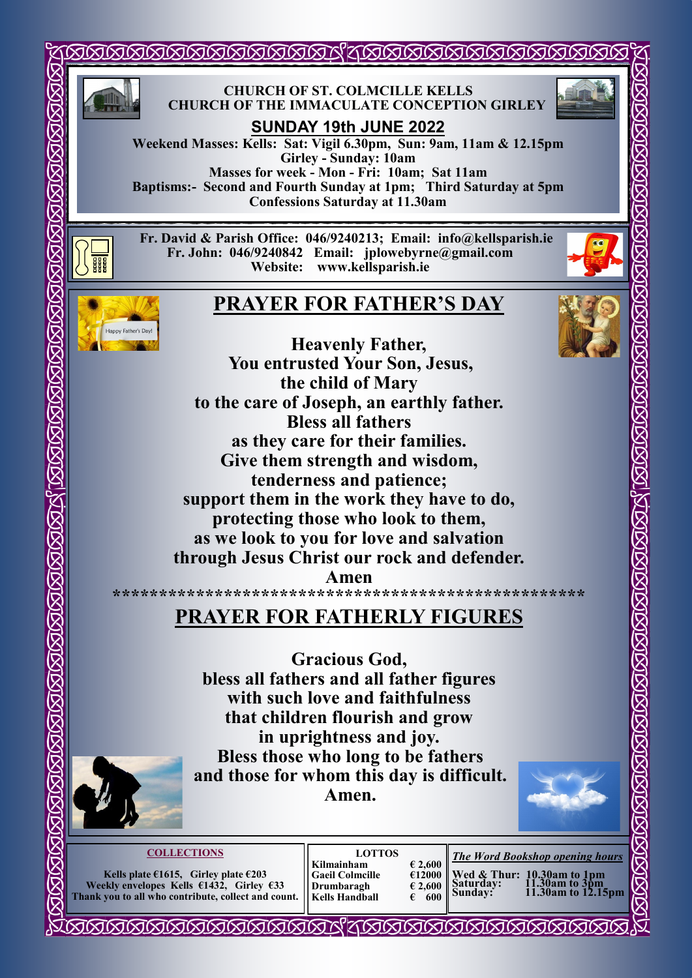